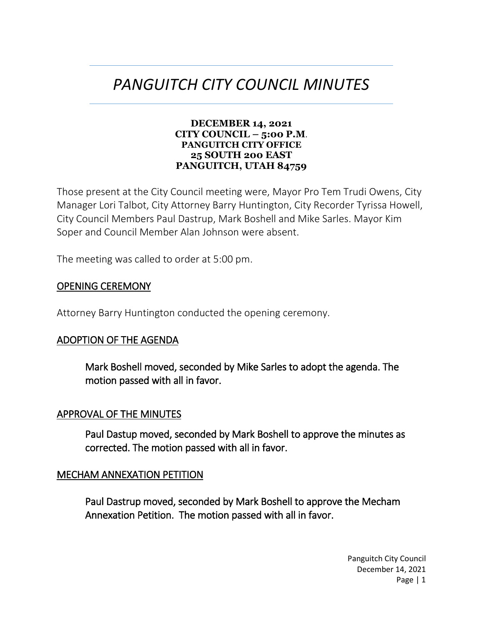# *PANGUITCH CITY COUNCIL MINUTES*

#### **DECEMBER 14, 2021 CITY COUNCIL – 5:00 P.M**. **PANGUITCH CITY OFFICE 25 SOUTH 200 EAST PANGUITCH, UTAH 84759**

Those present at the City Council meeting were, Mayor Pro Tem Trudi Owens, City Manager Lori Talbot, City Attorney Barry Huntington, City Recorder Tyrissa Howell, City Council Members Paul Dastrup, Mark Boshell and Mike Sarles. Mayor Kim Soper and Council Member Alan Johnson were absent.

The meeting was called to order at 5:00 pm.

### OPENING CEREMONY

Attorney Barry Huntington conducted the opening ceremony.

#### ADOPTION OF THE AGENDA

Mark Boshell moved, seconded by Mike Sarles to adopt the agenda. The motion passed with all in favor.

#### APPROVAL OF THE MINUTES

Paul Dastup moved, seconded by Mark Boshell to approve the minutes as corrected. The motion passed with all in favor.

#### MECHAM ANNEXATION PETITION

Paul Dastrup moved, seconded by Mark Boshell to approve the Mecham Annexation Petition. The motion passed with all in favor.

> Panguitch City Council December 14, 2021 Page | 1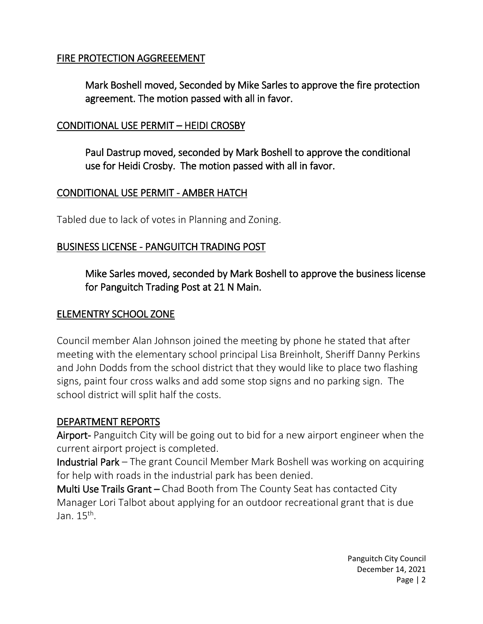### FIRE PROTECTION AGGREEEMENT

Mark Boshell moved, Seconded by Mike Sarles to approve the fire protection agreement. The motion passed with all in favor.

### CONDITIONAL USE PERMIT – HEIDI CROSBY

Paul Dastrup moved, seconded by Mark Boshell to approve the conditional use for Heidi Crosby. The motion passed with all in favor.

#### CONDITIONAL USE PERMIT - AMBER HATCH

Tabled due to lack of votes in Planning and Zoning.

### BUSINESS LICENSE - PANGUITCH TRADING POST

Mike Sarles moved, seconded by Mark Boshell to approve the business license for Panguitch Trading Post at 21 N Main.

#### ELEMENTRY SCHOOL ZONE

Council member Alan Johnson joined the meeting by phone he stated that after meeting with the elementary school principal Lisa Breinholt, Sheriff Danny Perkins and John Dodds from the school district that they would like to place two flashing signs, paint four cross walks and add some stop signs and no parking sign. The school district will split half the costs.

#### DEPARTMENT REPORTS

Airport- Panguitch City will be going out to bid for a new airport engineer when the current airport project is completed.

Industrial Park – The grant Council Member Mark Boshell was working on acquiring for help with roads in the industrial park has been denied.

Multi Use Trails Grant – Chad Booth from The County Seat has contacted City Manager Lori Talbot about applying for an outdoor recreational grant that is due Jan. 15<sup>th</sup>.

> Panguitch City Council December 14, 2021 Page | 2